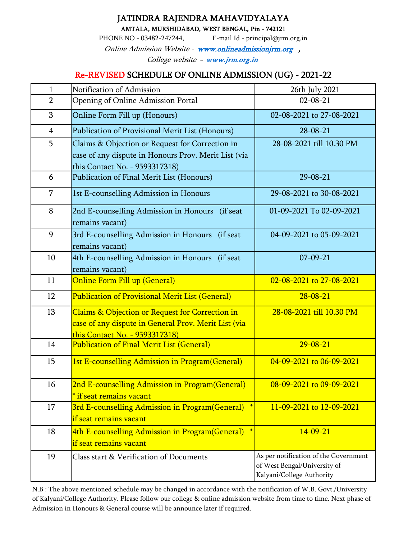## JATINDRA RAJENDRA MAHAVIDYALAYA

AMTALA, MURSHIDABAD, WEST BENGAL, Pin - 742121

PHONE NO - 03482-247244, E-mail Id - principal@jrm.org.in

Online Admission Website - www.onlineadmissionjrm.org , College website - www.jrm.org.in

## Re-REVISED SCHEDULE OF ONLINE ADMISSION (UG) - 2021-22

| $\mathbf{1}$   | Notification of Admission                                                                                                                 | 26th July 2021                                                                                     |  |  |  |
|----------------|-------------------------------------------------------------------------------------------------------------------------------------------|----------------------------------------------------------------------------------------------------|--|--|--|
| $\overline{2}$ | Opening of Online Admission Portal                                                                                                        | $02 - 08 - 21$                                                                                     |  |  |  |
| 3              | Online Form Fill up (Honours)                                                                                                             | 02-08-2021 to 27-08-2021                                                                           |  |  |  |
| $\overline{4}$ | Publication of Provisional Merit List (Honours)                                                                                           | $28 - 08 - 21$                                                                                     |  |  |  |
| 5              | Claims & Objection or Request for Correction in<br>case of any dispute in Honours Prov. Merit List (via<br>this Contact No. - 9593317318) | 28-08-2021 till 10.30 PM                                                                           |  |  |  |
| 6              | Publication of Final Merit List (Honours)                                                                                                 | $29 - 08 - 21$                                                                                     |  |  |  |
| 7              | 1st E-counselling Admission in Honours                                                                                                    | 29-08-2021 to 30-08-2021                                                                           |  |  |  |
| 8              | 2nd E-counselling Admission in Honours<br>(if seat<br>remains vacant)                                                                     | 01-09-2021 To 02-09-2021                                                                           |  |  |  |
| 9              | 3rd E-counselling Admission in Honours<br>(if seat<br>remains vacant)                                                                     | 04-09-2021 to 05-09-2021                                                                           |  |  |  |
| 10             | 4th E-counselling Admission in Honours<br>(if seat<br>remains vacant)                                                                     | $07 - 09 - 21$                                                                                     |  |  |  |
| 11             | <b>Online Form Fill up (General)</b>                                                                                                      | 02-08-2021 to 27-08-2021                                                                           |  |  |  |
| 12             | <b>Publication of Provisional Merit List (General)</b>                                                                                    | $28 - 08 - 21$                                                                                     |  |  |  |
| 13             | Claims & Objection or Request for Correction in<br>case of any dispute in General Prov. Merit List (via<br>this Contact No. - 9593317318) | 28-08-2021 till 10.30 PM                                                                           |  |  |  |
| 14             | <b>Publication of Final Merit List (General)</b>                                                                                          | $29 - 08 - 21$                                                                                     |  |  |  |
| 15             | 1st E-counselling Admission in Program(General)                                                                                           | 04-09-2021 to 06-09-2021                                                                           |  |  |  |
| 16             | 2nd E-counselling Admission in Program(General)<br>* if seat remains vacant                                                               | 08-09-2021 to 09-09-2021                                                                           |  |  |  |
| 17             | 3rd E-counselling Admission in Program(General)<br>if seat remains vacant                                                                 | 11-09-2021 to 12-09-2021                                                                           |  |  |  |
| 18             | 4th E-counselling Admission in Program(General) *<br>if seat remains vacant                                                               | $14 - 09 - 21$                                                                                     |  |  |  |
| 19             | Class start & Verification of Documents                                                                                                   | As per notification of the Government<br>of West Bengal/University of<br>Kalyani/College Authority |  |  |  |

N.B : The above mentioned schedule may be changed in accordance with the notification of W.B. Govt./University of Kalyani/College Authority. Please follow our college & online admission website from time to time. Next phase of Admission in Honours & General course will be announce later if required.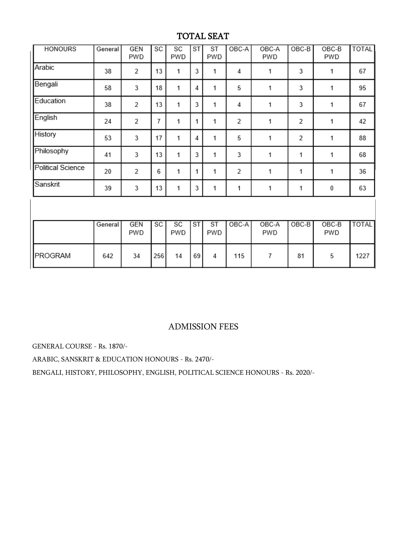# TOTAL SEAT

| <b>HONOURS</b>    | General | <b>GEN</b><br>PWD | SC        | SC<br>PWD | <b>ST</b> | ST<br>PWD        | OBC-A          | OBC-A<br>PWD | $OBC-B$        | OBC-B<br>PWD   | <b>TOTAL</b> |
|-------------------|---------|-------------------|-----------|-----------|-----------|------------------|----------------|--------------|----------------|----------------|--------------|
| Arabic            | 38      | $\overline{2}$    | 13        | 1         | 3         | 1                | 4              | 1            | 3              | 1              | 67           |
| Bengali           | 58      | 3                 | 18        | 1         | 4         | 1                | 5              | 1            | 3              | 1              | 95           |
| Education         | 38      | 2                 | 13        | 1         | 3         | 1                | 4              | 1            | 3              | 1              | 67           |
| English           | 24      | 2                 | 7         | 1         | 1         | 1                | $\overline{2}$ | 1            | $\overline{2}$ | 1              | 42           |
| History           | 53      | 3                 | 17        | 1         | 4         | 1                | 5              | 1            | $\overline{2}$ | 1              | 88           |
| Philosophy        | 41      | 3                 | 13        | 1         | 3         | 1                | 3              | 1            | 1              | 1              | 68           |
| Political Science | 20      | 2                 | 6         | 1         | 1         | 1                | 2              | 1            | 1              | 1              | 36           |
| Sanskrit          | 39      | 3                 | 13        | 1         | 3         | 1                | 1              | 1            | 1              | 0              | 63           |
|                   |         |                   |           |           |           |                  |                |              |                |                |              |
|                   | General | <b>GEN</b><br>PWD | <b>SC</b> | SC<br>PWD | <b>ST</b> | <b>ST</b><br>PWD | OBC-A          | OBC-A<br>PWD | $OBC-B$        | $OBC-B$<br>PWD | <b>TOTAL</b> |
| PROGRAM           | 642     | 34                | 256       | 14        | 69        | 4                | 115            | 7            | 81             | 5              | 1227         |

## ADMISSION FEES

GENERAL COURSE - Rs. 1870/-

ARABIC, SANSKRIT & EDUCATION HONOURS - Rs. 2470/-

BENGALI, HISTORY, PHILOSOPHY, ENGLISH, POLITICAL SCIENCE HONOURS - Rs. 2020/-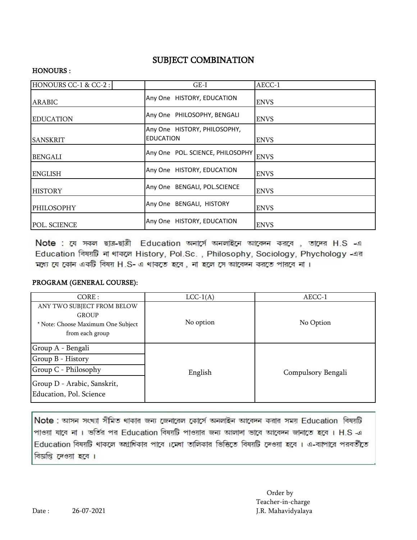## SUBJECT COMBINATION

### HONOURS :

| HONOURS CC-1 & CC-2: | $GE-I$                                           | AECC-1      |
|----------------------|--------------------------------------------------|-------------|
| ARABIC               | Any One HISTORY, EDUCATION                       | <b>ENVS</b> |
| <b>EDUCATION</b>     | Any One PHILOSOPHY, BENGALI                      | <b>ENVS</b> |
| ISANSKRIT            | Any One HISTORY, PHILOSOPHY,<br><b>EDUCATION</b> | <b>ENVS</b> |
| <b>BENGALI</b>       | Any One POL. SCIENCE, PHILOSOPHY                 | <b>ENVS</b> |
| <b>ENGLISH</b>       | Any One HISTORY, EDUCATION                       | <b>ENVS</b> |
| <b>HISTORY</b>       | Any One BENGALI, POL.SCIENCE                     | <b>ENVS</b> |
| PHILOSOPHY           | Any One BENGALI, HISTORY                         | <b>ENVS</b> |
| POL. SCIENCE         | Any One HISTORY, EDUCATION                       | <b>ENVS</b> |

Note : যে সকল ছাত্র-ছাত্রী Education অনার্সে অনলাইনে আবেদন করবে , তাদের H.S -এ Education विषय़ाडि ना शाकरूल History, Pol.Sc., Philosophy, Sociology, Phychology - अब মধ্যে যে কোন একটি বিষয় H.S- এ থাকতে হবে, না হলে সে আবেদন করতে পারবে না।

### PROGRAM (GENERAL COURSE):

| CORE:                                                                                               | $LCC-1(A)$ | AECC-1             |  |  |
|-----------------------------------------------------------------------------------------------------|------------|--------------------|--|--|
| ANY TWO SUBJECT FROM BELOW<br><b>GROUP</b><br>* Note: Choose Maximum One Subject<br>from each group | No option  | No Option          |  |  |
| Group A - Bengali                                                                                   |            |                    |  |  |
| Group B - History                                                                                   |            |                    |  |  |
| Group C - Philosophy                                                                                | English    | Compulsory Bengali |  |  |
| Group D - Arabic, Sanskrit,<br>Education, Pol. Science                                              |            |                    |  |  |

Note : আসন সংখ্যা সীমিত থাকার জন্য জেনারেল কোর্সে অনলাইন আবেদন করার সময় Education বিষয়টি পাওয়া যাবে না । ভর্তির পর Education বিষয়টি পাওয়ার জন্য আলাদা ভাবে আবেদন জানাতে হবে । H.S -এ Education বিষয়টি থাকলে অগ্রাধিকার পাবে ।মেধা তালিকার ভিত্তিতে বিষয়টি দেওয়া হবে । এ-ব্যাপারে পরবর্তীতে বিজ্ঞপ্তি দেওয়া হবে ।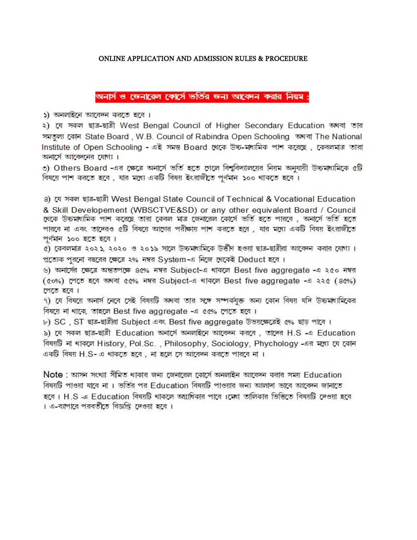### ONLINE APPLICATION AND ADMISSION RULES & PROCEDURE

অনার্স ও জেনারেল কোর্সে ভর্তির জন্য আবেদন করার নিয়ম :

১) অনলাইনে আবেদন করতে হবে ।

২) যে সকল ছাত্র-ছাত্রী West Bengal Council of Higher Secondary Education অথবা তার সমতল্য কোন State Board, W.B. Council of Rabindra Open Schooling অথবা The National Institute of Open Schooling - এই সমস্ত Board থেকে উচ্চ-মাধ্যমিক পাশ করেছে, কেবলমাত্র তারা অনার্সে আবেদনের যোগ্য।

৩) Others Board -এর ক্ষেত্রে অনার্সে ভর্তি হতে গেলে বিশ্ববিদ্যালয়ের নিয়ম অনুযায়ী উচ্চমাধ্যমিকে ৫টি বিষয়ে পাশ করতে হবে, যার মধ্যে একটি বিষয় ইংরাজীতে পূর্ণমান ১০০ থাকতে হবে।

8) যে সকল ছাত্ৰ-ছাত্ৰী West Bengal State Council of Technical & Vocational Education & Skill Developement (WBSCTVE&SD) or any other equivalent Board / Council থেকে উচ্চমাধ্যমিক পাশ করেছে তারা কেবল মাত্র জেনারেল কোর্সে ভর্তি হতে পারবে , অনার্সে ভর্তি হতে পারবে না এবং তাদেরও ৫টি বিষয়ে আগের পরীক্ষায় পাশ করতে হবে , যার মধ্যে একটি বিষয় ইংরাজীতে পৰ্ণমান ১০০ হতে হবে।

৫) কেবলমাত্র ২০২১, ২০২০ ও ২০১৯ সালে উচ্চমাধ্যমিকে উত্তীণ হওয়া ছাত্র-ছাত্রীরা আবেদন করার যোগ্য। প্রত্যেক পুরনো বছরের ক্ষেত্রে ২% নম্বর System-এ নিজে থেকেই Deduct হবে।

৬) অনার্সের ক্ষেত্রে অন্ততপক্ষে ৪৫% নম্বর Subject-এ থাকলে Best five aggregate -এ ২৫০ নম্বর (৫০%) পেতে হবে অথবা ৫৫% নম্বর Subject-এ থাকলে Best five aggregate -এ ২২৫ (৪৫%) পেতে হবে।

৭) যে বিষয়ে অনার্স নেবে সেই বিষয়টি অথবা তার সঙ্গে সম্পর্কয়ত অন্য কোন বিষয় যদি উচ্চমাধ্যমিকের বিষয়ে না থাকে, তাহলে Best five aggregate -এ ৫৫% পেতে হবে।

৮) SC , ST ছাত্র-ছাত্রীরা Subject এবং Best five aggregate উভয়ক্ষেত্রেই ৫% ছাড় পাবে ।

৯) যে সকল ছাত্র-ছাত্রী Education অনার্সে অনলাইনে আবেদন করবে , তাদের H.S -এ Education বিষয়টি না থাকলে History, Pol.Sc. , Philosophy, Sociology, Phychology -এর মধ্যে যে কোন একটি বিষয় H.S- এ থাকতে হবে , না হলে সে আবেদন করতে পারবে না ।

 $Note:$  আসন সংখ্যা সীমিত থাকার জন্য জেনারেল কোর্সে অনলাইন আবেদন করার সময় Education বিষয়টি পাওয়া যাবে না । ভর্তির পর Education বিষয়টি পাওয়ার জন্য আলাদা ভাবে আবেদন জানাতে হবে । H.S এ Education বিষয়টি থাকলে অগ্রাধিকার পাবে ।মেধা তালিকার ভিত্তিতে বিষয়টি দেওয়া হবে । এ-ব্যাপারে পরবর্তীতে বিজ্ঞপ্তি দেওয়া হবে ।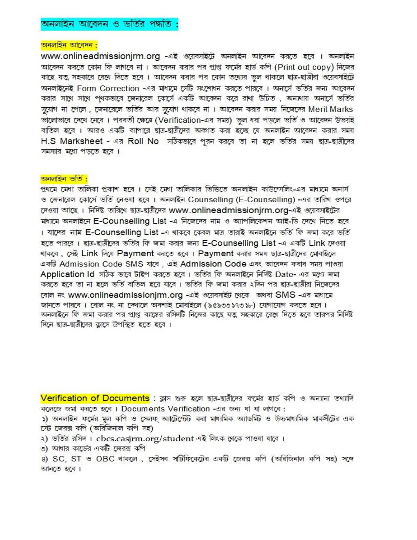#### অনলাইন আবেদন :

www.onlineadmissionjrm.org -এই ওয়েবসাইটে অনলাইন আবেদন করতে হবে । অনলাইন আবেদন করতে কোন ফি লাগবে না। আবেদন করার পর প্রাপ্ত ফর্মের হার্ড কপি (Print out copy) নিজের কাছে যত্ত সহকারে রেখে দিতে হবে । আবেদন করার পর কোন তথ্যের ভুল থাকলে ছাত্র-ছাত্রীরা ওয়েবসাইটে অনলাইনেই Form Correction -এর মাধ্যমে সেটি সংশোধন করতে পারবে । অনার্সে ভর্তির জন্য আবেদন করার সাথে সাথে প্থকভাবে জেনারেল কোর্সে একটি আবেদন করে রাখা উচিত , অন্যথায় অনার্সে ভর্তির সুযোগ না পেলে , জেনারেলে ভর্তির আর সুযোগ থাকবে না । আবেদন করার সময় নিজেদের Merit Marks ভালোভাবে দেখে নেবে । পরবর্তী ক্ষেত্রে (Verification-এর সময়) ভুল ধরা পড়লে ভর্তি ও আবেদন উভয়ই বাতিল হবে । আরও একটি ব্যাপারে ছাত্র-ছাত্রীদের অকাত করা হচ্ছে যে অনলাইন আবেদন করার সময় H.S Marksheet - এর Roll No সঠিকভাবে পুরন করবে তা না হলে ভর্তির সময় ছাত্র-ছাত্রীদের সমস্যার মধ্যে পডতে হবে।

#### <u>অনলাইন ভৰ্তি :</u>

প্রথমে মেধা তালিকা প্রকাশ হবে । সেই মেধা তালিকার ভিত্তিতে অনলাইন কাউন্সেলিং-এর মাধ্যমে অনার্স ও জেনারেল কোর্সে ভর্তি নেওয়া হবে । অনলাইন Counselling (E-Counselling) -এর তারিখ ওপরে দেওয়া আছে। নিৰ্দিষ্ট তাৱিখে ছাত্ৰ-ছাত্ৰীদেৱ www.onlineadmissionjrm.org-এই ওয়েবসাইটের মাগমে অনলাইনে E-Counselling List -এ নিজেদের নাম ও অ্যাপলিকেশন আই-ডি দেখে নিতে হবে । যাদের নাম E-Counselling List -এ থাকবে কেবল মাত্র তারাই অনলাইনে ভর্তি ফি জমা করে ভর্তি হতে পারবে। ছাত্র-ছাত্রীদের ভর্তির ফি জমা করার জন্য E-Counselling List -এ একটি Link দেওয়া থাকৰে, সেই Link দিয়ে Payment করতে হবে। Payment করার সময় ছাত্র-ছাত্রীদের মোবাইলে একটি Admission Code SMS যাবে, এই Admission Code এবং আবেদন করার সময় পাওয়া Application Id সঠিক ভাবে টাইপ করতে হবে। ভর্তির ফি অনলাইনে নির্দিষ্ট Date- এর মধ্যে জমা করতে হবে তা না হলে ভর্তি বাতিল হয়ে যাবে। ভর্তির ফি জমা করার ২দিন পর ছাত্র-ছাত্রীরা নিজেদের রোল নং www.onlineadmissionjrm.org -এই ওয়েবসাইট থেকে অথবা SMS -এর মাধ্যমে জানতে পারবে । রোল নং না দেখালে অবশ্যই মোবাইলে (৯৫৯৩৩১৭৩১৮) যোগাযোগ করতে হবে । অনলাইনে ফি জমা করার পর প্রাপ্ত ব্যাঙ্কের রসিদটি নিজের কাছে যত্ত্ব সহকারে রেখে দিতে হবে তারপর নির্দিষ্ট দিনে ছাত্র-ছাত্রীদের ক্লাসে উপস্থিত হতে হবে ।

Verification of Documents : ক্লাস শুরু হলে ছাত্র-ছাত্রীদের ফর্মের হার্ড কপি ও অন্যান্য তথ্যাদি কলেজে জমা করতে হবে। Documents Verification -এর জন্য যা যা লাগবে:

১) অনলাইন ফৰ্মের মূল কপি ও সেলফ অ্যাট্টেস্টেট করা মাধ্যমিক অ্যাডমিট ও উচ্চমাধ্যমিক মার্কসীটের এক সেট জেরক্স কপি (অরিজিনাল কপি সহ)

২) ভৰ্তির রসিদ। cbcs.casjrm.org/student এই লিংক থেকে পাওয়া যাবে।

৩) আধার কার্ডের একটি জেরক্স কপি

8) SC, ST ও OBC থাকলে, সেইসব সাটিফিকেটের একটি জেরক্স কপি (অরিজিনাল কপি সহ) সঙ্গে আনতে হবে।